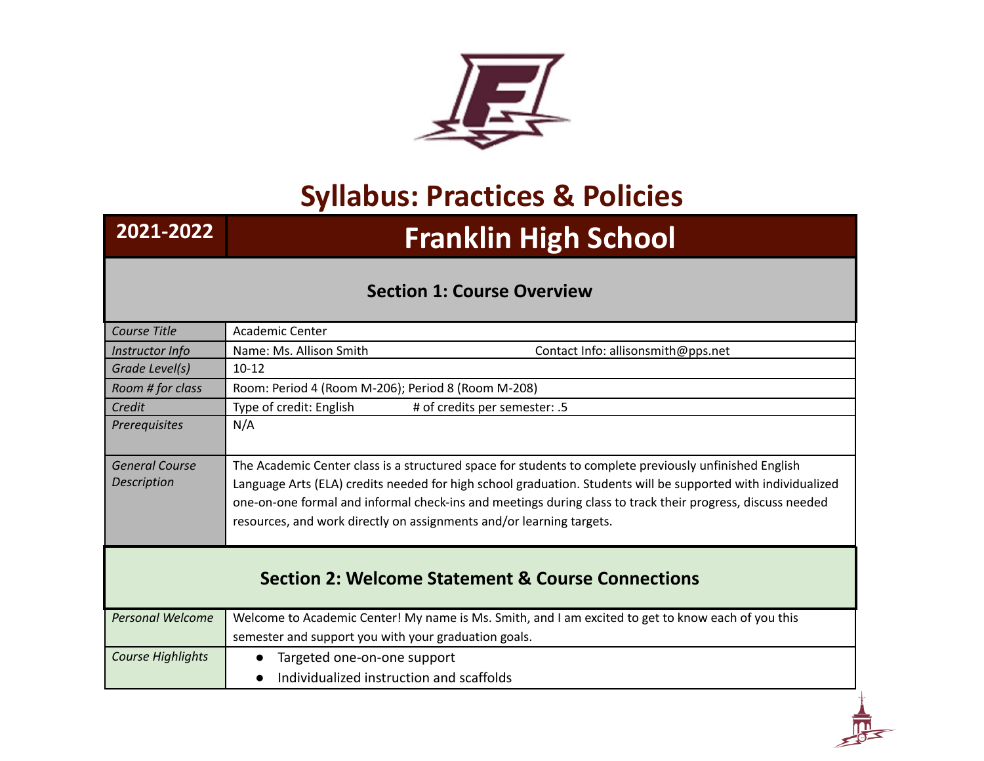

## **Syllabus: Practices & Policies**

## **2021-2022 Franklin High School**

## **Section 1: Course Overview**

| Course Title                                                 | Academic Center                                                                                                                                                                                                                                                                                                                                                                                               |  |
|--------------------------------------------------------------|---------------------------------------------------------------------------------------------------------------------------------------------------------------------------------------------------------------------------------------------------------------------------------------------------------------------------------------------------------------------------------------------------------------|--|
| Instructor Info                                              | Name: Ms. Allison Smith<br>Contact Info: allisonsmith@pps.net                                                                                                                                                                                                                                                                                                                                                 |  |
| Grade Level(s)                                               | $10 - 12$                                                                                                                                                                                                                                                                                                                                                                                                     |  |
| Room # for class                                             | Room: Period 4 (Room M-206); Period 8 (Room M-208)                                                                                                                                                                                                                                                                                                                                                            |  |
| Credit                                                       | Type of credit: English<br># of credits per semester: .5                                                                                                                                                                                                                                                                                                                                                      |  |
| Prerequisites                                                | N/A                                                                                                                                                                                                                                                                                                                                                                                                           |  |
| <b>General Course</b><br>Description                         | The Academic Center class is a structured space for students to complete previously unfinished English<br>Language Arts (ELA) credits needed for high school graduation. Students will be supported with individualized<br>one-on-one formal and informal check-ins and meetings during class to track their progress, discuss needed<br>resources, and work directly on assignments and/or learning targets. |  |
| <b>Section 2: Welcome Statement &amp; Course Connections</b> |                                                                                                                                                                                                                                                                                                                                                                                                               |  |
| <b>Personal Welcome</b>                                      | Welcome to Academic Center! My name is Ms. Smith, and I am excited to get to know each of you this<br>semester and support you with your graduation goals.                                                                                                                                                                                                                                                    |  |
| Course Highlights                                            | Targeted one-on-one support<br>$\bullet$                                                                                                                                                                                                                                                                                                                                                                      |  |
|                                                              | Individualized instruction and scaffolds<br>$\bullet$                                                                                                                                                                                                                                                                                                                                                         |  |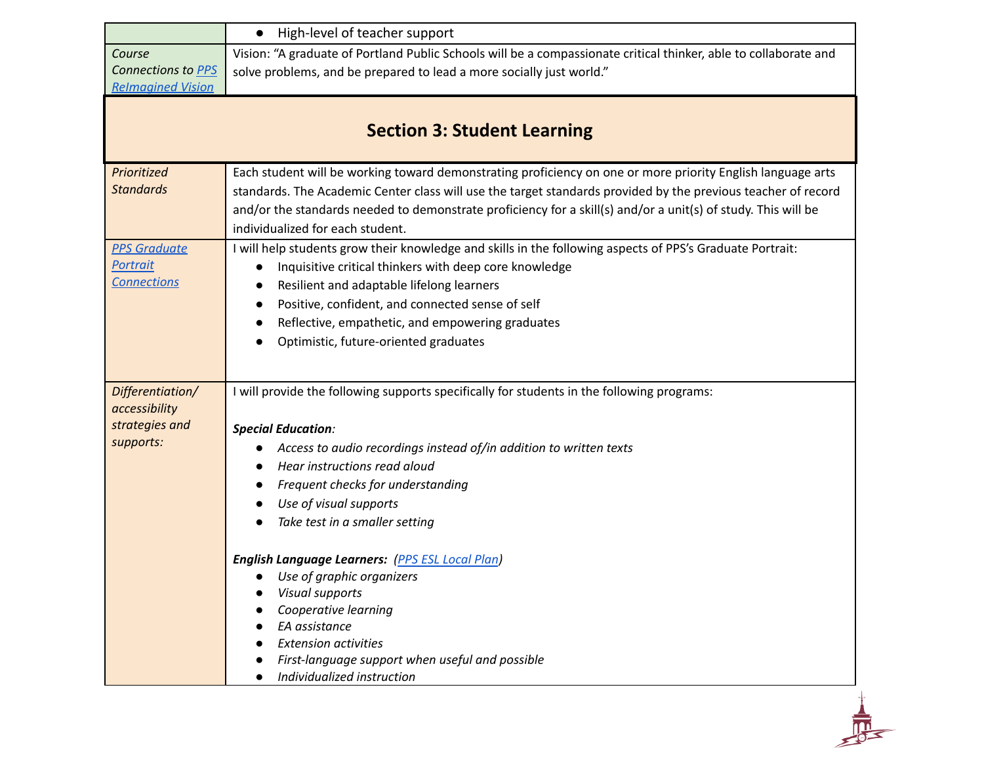|                                    | • High-level of teacher support                                                                                  |  |  |
|------------------------------------|------------------------------------------------------------------------------------------------------------------|--|--|
| Course                             | Vision: "A graduate of Portland Public Schools will be a compassionate critical thinker, able to collaborate and |  |  |
| Connections to PPS                 | solve problems, and be prepared to lead a more socially just world."                                             |  |  |
| <b>Relmagined Vision</b>           |                                                                                                                  |  |  |
|                                    |                                                                                                                  |  |  |
| <b>Section 3: Student Learning</b> |                                                                                                                  |  |  |
| Prioritized                        | Each student will be working toward demonstrating proficiency on one or more priority English language arts      |  |  |
| <b>Standards</b>                   | standards. The Academic Center class will use the target standards provided by the previous teacher of record    |  |  |
|                                    | and/or the standards needed to demonstrate proficiency for a skill(s) and/or a unit(s) of study. This will be    |  |  |
|                                    | individualized for each student.                                                                                 |  |  |
| <b>PPS Graduate</b>                | I will help students grow their knowledge and skills in the following aspects of PPS's Graduate Portrait:        |  |  |
| <b>Portrait</b>                    | Inquisitive critical thinkers with deep core knowledge                                                           |  |  |
| <b>Connections</b>                 | Resilient and adaptable lifelong learners                                                                        |  |  |
|                                    | Positive, confident, and connected sense of self                                                                 |  |  |
|                                    | Reflective, empathetic, and empowering graduates                                                                 |  |  |
|                                    | Optimistic, future-oriented graduates                                                                            |  |  |
|                                    |                                                                                                                  |  |  |
| Differentiation/                   | I will provide the following supports specifically for students in the following programs:                       |  |  |
| accessibility                      |                                                                                                                  |  |  |
| strategies and                     | <b>Special Education:</b>                                                                                        |  |  |
| supports:                          | Access to audio recordings instead of/in addition to written texts                                               |  |  |
|                                    | Hear instructions read aloud                                                                                     |  |  |
|                                    | Frequent checks for understanding                                                                                |  |  |
|                                    | Use of visual supports                                                                                           |  |  |
|                                    | Take test in a smaller setting                                                                                   |  |  |
|                                    | <b>English Language Learners:</b> (PPS ESL Local Plan)                                                           |  |  |
|                                    | Use of graphic organizers                                                                                        |  |  |
|                                    | Visual supports                                                                                                  |  |  |
|                                    | Cooperative learning                                                                                             |  |  |
|                                    | EA assistance                                                                                                    |  |  |
|                                    | <b>Extension activities</b>                                                                                      |  |  |
|                                    | First-language support when useful and possible<br>Individualized instruction                                    |  |  |
|                                    |                                                                                                                  |  |  |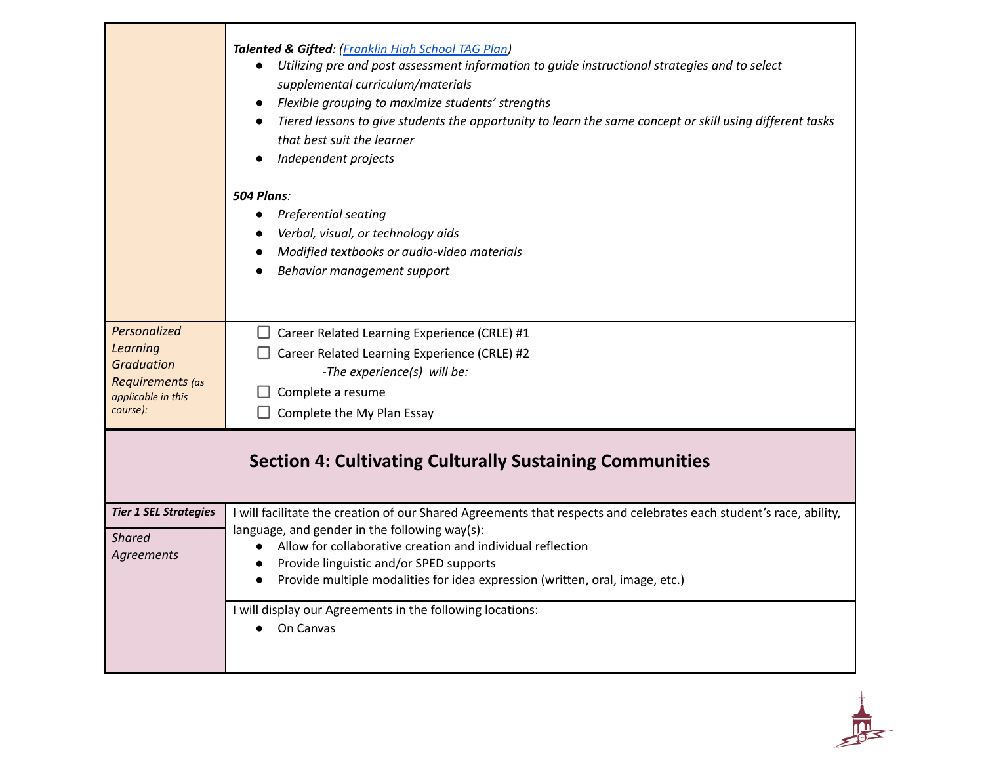|                                                                                                     | Talented & Gifted: (Franklin High School TAG Plan)<br>Utilizing pre and post assessment information to guide instructional strategies and to select<br>$\bullet$<br>supplemental curriculum/materials<br>Flexible grouping to maximize students' strengths<br>Tiered lessons to give students the opportunity to learn the same concept or skill using different tasks<br>that best suit the learner<br>Independent projects |  |
|-----------------------------------------------------------------------------------------------------|------------------------------------------------------------------------------------------------------------------------------------------------------------------------------------------------------------------------------------------------------------------------------------------------------------------------------------------------------------------------------------------------------------------------------|--|
|                                                                                                     | 504 Plans:<br>Preferential seating<br>Verbal, visual, or technology aids<br>Modified textbooks or audio-video materials<br>Behavior management support                                                                                                                                                                                                                                                                       |  |
| Personalized<br>Learning<br><b>Graduation</b><br>Requirements (as<br>applicable in this<br>course): | $\Box$ Career Related Learning Experience (CRLE) #1<br>Career Related Learning Experience (CRLE) #2<br>-The experience(s) will be:<br>Complete a resume<br>Complete the My Plan Essay                                                                                                                                                                                                                                        |  |
| <b>Section 4: Cultivating Culturally Sustaining Communities</b>                                     |                                                                                                                                                                                                                                                                                                                                                                                                                              |  |
| <b>Tier 1 SEL Strategies</b><br><b>Shared</b><br>Agreements                                         | I will facilitate the creation of our Shared Agreements that respects and celebrates each student's race, ability,<br>language, and gender in the following way(s):<br>Allow for collaborative creation and individual reflection<br>Provide linguistic and/or SPED supports<br>$\bullet$<br>Provide multiple modalities for idea expression (written, oral, image, etc.)<br>$\bullet$                                       |  |
|                                                                                                     | I will display our Agreements in the following locations:<br>On Canvas                                                                                                                                                                                                                                                                                                                                                       |  |

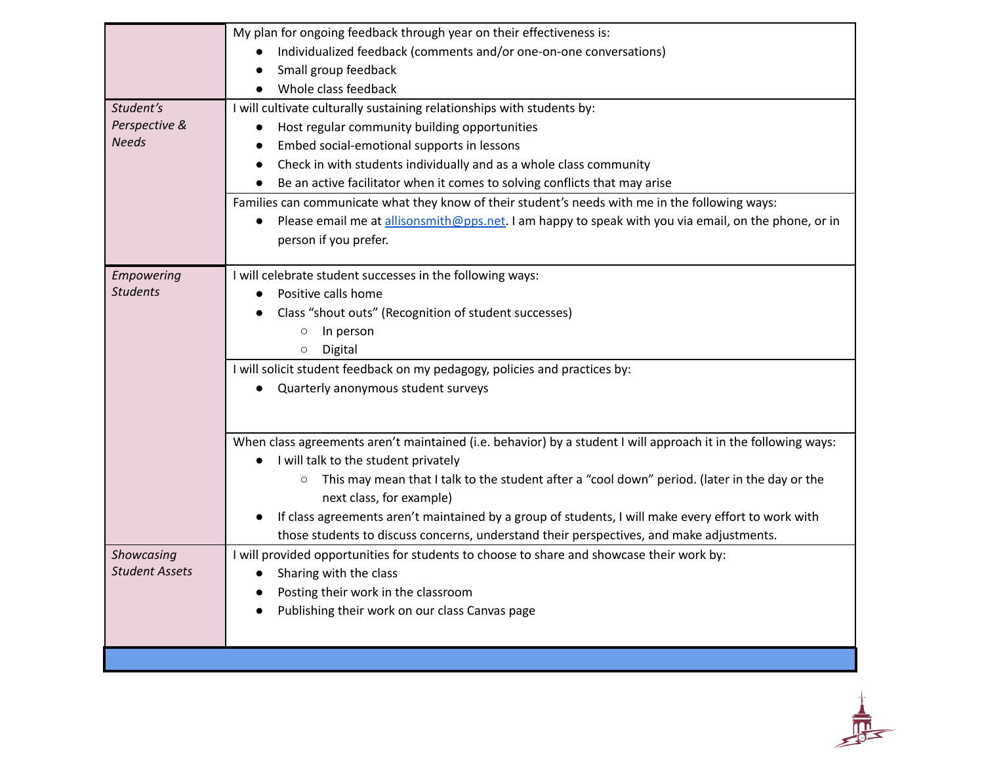|                       | My plan for ongoing feedback through year on their effectiveness is:                                           |
|-----------------------|----------------------------------------------------------------------------------------------------------------|
|                       | Individualized feedback (comments and/or one-on-one conversations)                                             |
|                       | Small group feedback                                                                                           |
|                       | Whole class feedback                                                                                           |
| Student's             | I will cultivate culturally sustaining relationships with students by:                                         |
| Perspective &         | Host regular community building opportunities                                                                  |
| <b>Needs</b>          | Embed social-emotional supports in lessons                                                                     |
|                       | Check in with students individually and as a whole class community                                             |
|                       | Be an active facilitator when it comes to solving conflicts that may arise                                     |
|                       | Families can communicate what they know of their student's needs with me in the following ways:                |
|                       | Please email me at allisonsmith@pps.net. I am happy to speak with you via email, on the phone, or in           |
|                       | person if you prefer.                                                                                          |
| Empowering            | I will celebrate student successes in the following ways:                                                      |
| <b>Students</b>       | Positive calls home<br>$\bullet$                                                                               |
|                       | Class "shout outs" (Recognition of student successes)                                                          |
|                       | In person<br>$\circ$                                                                                           |
|                       | Digital<br>$\circ$                                                                                             |
|                       | I will solicit student feedback on my pedagogy, policies and practices by:                                     |
|                       | Quarterly anonymous student surveys                                                                            |
|                       |                                                                                                                |
|                       | When class agreements aren't maintained (i.e. behavior) by a student I will approach it in the following ways: |
|                       | I will talk to the student privately                                                                           |
|                       | This may mean that I talk to the student after a "cool down" period. (later in the day or the<br>$\circ$       |
|                       | next class, for example)                                                                                       |
|                       | If class agreements aren't maintained by a group of students, I will make every effort to work with            |
|                       | those students to discuss concerns, understand their perspectives, and make adjustments.                       |
| Showcasing            | I will provided opportunities for students to choose to share and showcase their work by:                      |
| <b>Student Assets</b> | Sharing with the class                                                                                         |
|                       | Posting their work in the classroom                                                                            |
|                       | Publishing their work on our class Canvas page                                                                 |
|                       |                                                                                                                |
|                       |                                                                                                                |

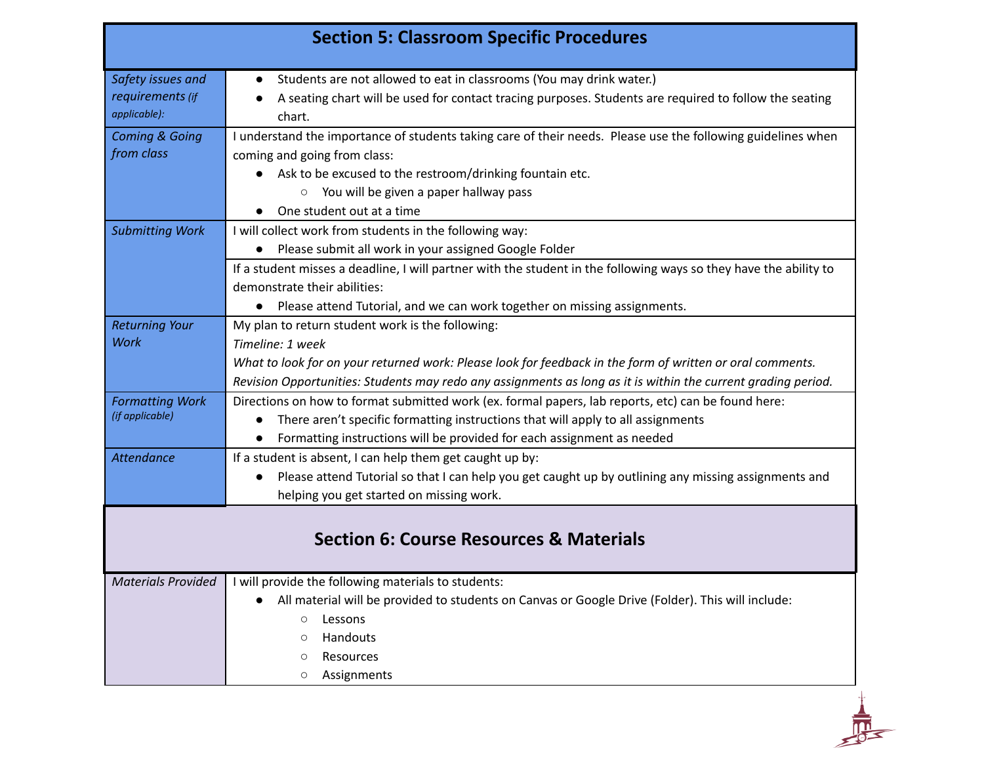| <b>Section 5: Classroom Specific Procedures</b>       |                                                                                                                                                                                                                                                                                                       |  |
|-------------------------------------------------------|-------------------------------------------------------------------------------------------------------------------------------------------------------------------------------------------------------------------------------------------------------------------------------------------------------|--|
| Safety issues and<br>requirements (if<br>applicable): | Students are not allowed to eat in classrooms (You may drink water.)<br>A seating chart will be used for contact tracing purposes. Students are required to follow the seating<br>chart.                                                                                                              |  |
| <b>Coming &amp; Going</b><br>from class               | I understand the importance of students taking care of their needs. Please use the following guidelines when<br>coming and going from class:                                                                                                                                                          |  |
|                                                       | • Ask to be excused to the restroom/drinking fountain etc.<br>You will be given a paper hallway pass<br>$\circ$                                                                                                                                                                                       |  |
| <b>Submitting Work</b>                                | One student out at a time<br>I will collect work from students in the following way:                                                                                                                                                                                                                  |  |
|                                                       | • Please submit all work in your assigned Google Folder<br>If a student misses a deadline, I will partner with the student in the following ways so they have the ability to<br>demonstrate their abilities:<br>Please attend Tutorial, and we can work together on missing assignments.<br>$\bullet$ |  |
| <b>Returning Your</b>                                 | My plan to return student work is the following:                                                                                                                                                                                                                                                      |  |
| Work                                                  | Timeline: 1 week<br>What to look for on your returned work: Please look for feedback in the form of written or oral comments.<br>Revision Opportunities: Students may redo any assignments as long as it is within the current grading period.                                                        |  |
| <b>Formatting Work</b><br>(if applicable)             | Directions on how to format submitted work (ex. formal papers, lab reports, etc) can be found here:<br>There aren't specific formatting instructions that will apply to all assignments<br>$\bullet$<br>Formatting instructions will be provided for each assignment as needed                        |  |
| <b>Attendance</b>                                     | If a student is absent, I can help them get caught up by:<br>Please attend Tutorial so that I can help you get caught up by outlining any missing assignments and<br>helping you get started on missing work.                                                                                         |  |
| <b>Section 6: Course Resources &amp; Materials</b>    |                                                                                                                                                                                                                                                                                                       |  |
| <b>Materials Provided</b>                             | I will provide the following materials to students:<br>All material will be provided to students on Canvas or Google Drive (Folder). This will include:<br>Lessons<br>$\circ$<br>Handouts<br>O<br>Resources<br>O<br>Assignments<br>O                                                                  |  |

 $\frac{1}{\sqrt{2}}$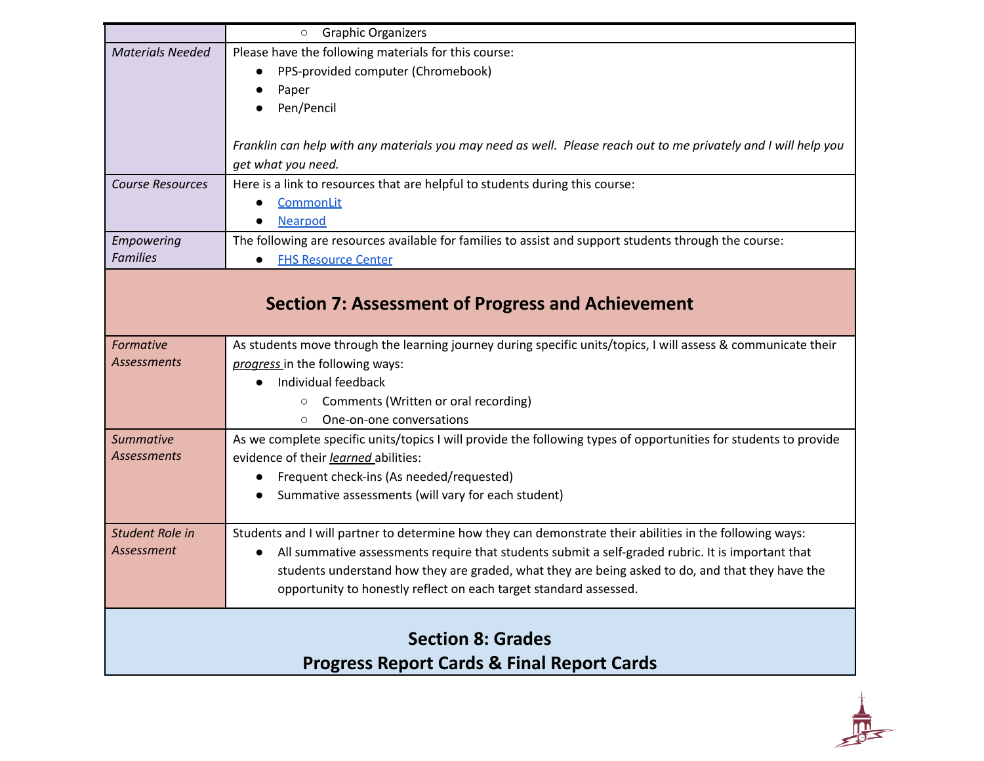|                                                       | <b>Graphic Organizers</b><br>$\circ$                                                                             |  |
|-------------------------------------------------------|------------------------------------------------------------------------------------------------------------------|--|
| <b>Materials Needed</b>                               | Please have the following materials for this course:                                                             |  |
|                                                       | PPS-provided computer (Chromebook)<br>$\bullet$                                                                  |  |
|                                                       | Paper                                                                                                            |  |
|                                                       | Pen/Pencil                                                                                                       |  |
|                                                       |                                                                                                                  |  |
|                                                       | Franklin can help with any materials you may need as well. Please reach out to me privately and I will help you  |  |
|                                                       | get what you need.                                                                                               |  |
| <b>Course Resources</b>                               | Here is a link to resources that are helpful to students during this course:                                     |  |
|                                                       | <b>CommonLit</b>                                                                                                 |  |
|                                                       | Nearpod                                                                                                          |  |
| Empowering                                            | The following are resources available for families to assist and support students through the course:            |  |
| <b>Families</b>                                       | <b>FHS Resource Center</b>                                                                                       |  |
|                                                       |                                                                                                                  |  |
|                                                       | <b>Section 7: Assessment of Progress and Achievement</b>                                                         |  |
|                                                       |                                                                                                                  |  |
| Formative                                             | As students move through the learning journey during specific units/topics, I will assess & communicate their    |  |
| <b>Assessments</b>                                    | progress in the following ways:                                                                                  |  |
|                                                       | Individual feedback<br>$\bullet$                                                                                 |  |
|                                                       | Comments (Written or oral recording)<br>$\circ$                                                                  |  |
|                                                       | One-on-one conversations<br>$\circ$                                                                              |  |
| <b>Summative</b>                                      | As we complete specific units/topics I will provide the following types of opportunities for students to provide |  |
| <b>Assessments</b>                                    | evidence of their learned abilities:                                                                             |  |
|                                                       | Frequent check-ins (As needed/requested)                                                                         |  |
|                                                       | Summative assessments (will vary for each student)                                                               |  |
|                                                       |                                                                                                                  |  |
| <b>Student Role in</b>                                | Students and I will partner to determine how they can demonstrate their abilities in the following ways:         |  |
| Assessment                                            | All summative assessments require that students submit a self-graded rubric. It is important that<br>$\bullet$   |  |
|                                                       | students understand how they are graded, what they are being asked to do, and that they have the                 |  |
|                                                       | opportunity to honestly reflect on each target standard assessed.                                                |  |
|                                                       |                                                                                                                  |  |
| <b>Section 8: Grades</b>                              |                                                                                                                  |  |
|                                                       |                                                                                                                  |  |
| <b>Progress Report Cards &amp; Final Report Cards</b> |                                                                                                                  |  |